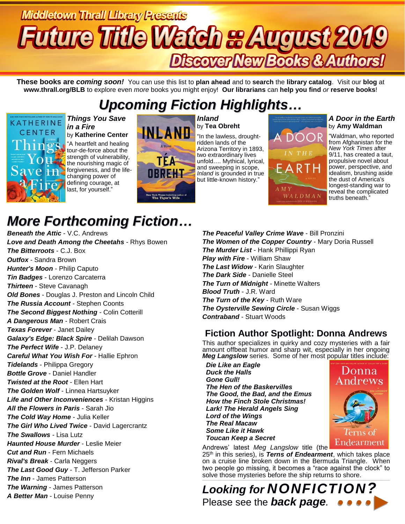# **Middletown Thrall Library Presents Uture Title Watch & August 2019** Discover New Books & Authors!

**These books are** *coming soon!* You can use this list to **plan ahead** and to **search** the **library catalog**. Visit our **blog** at **www.thrall.org/BLB** to explore even *more* books you might enjoy! **Our librarians** can **help you find** *or* **reserve books**!

## *Upcoming Fiction Highlights…*



### *Things You Save in a Fire* by **Katherine Center**

"A heartfelt and healing tour-de-force about the strength of vulnerability, the nourishing magic of forgiveness, and the lifechanging power of defining courage, at last, for yourself."



#### *Inland* by **Tea Obreht**

"In the lawless, droughtridden lands of the Arizona Territory in 1893, two extraordinary lives unfold…. Mythical, lyrical, and sweeping in scope, *Inland* is grounded in true but little-known history."

# DOOR ARTH  $AM<sub>1</sub>$ WALDMAN

### *A Door in the Earth* by **Amy Waldman**

"Waldman, who reported from Afghanistan for the *New York Times* after 9/11, has created a taut, propulsive novel about power, perspective, and idealism, brushing aside the dust of America's longest-standing war to reveal the complicated truths beneath."

# *More Forthcoming Fiction…*

*Beneath the Attic* - V.C. Andrews *Love and Death Among the Cheetahs* - Rhys Bowen *The Bitterroots* - C.J. Box *Outfox* - Sandra Brown *Hunter's Moon* - Philip Caputo *Tin Badges* - Lorenzo Carcaterra *Thirteen* - Steve Cavanagh *Old Bones* - Douglas J. Preston and Lincoln Child *The Russia Account* - Stephen Coonts *The Second Biggest Nothing* - Colin Cotterill *A Dangerous Man* - Robert Crais *Texas Forever* - Janet Dailey *Galaxy's Edge: Black Spire* - Delilah Dawson *The Perfect Wife* - J.P. Delaney *Careful What You Wish For* - Hallie Ephron *Tidelands* - Philippa Gregory *Bottle Grove* - Daniel Handler *Twisted at the Root* - Ellen Hart *The Golden Wolf* - Linnea Hartsuyker *Life and Other Inconveniences* - Kristan Higgins *All the Flowers in Paris* - Sarah Jio *The Cold Way Home* - Julia Keller *The Girl Who Lived Twice* - David Lagercrantz *The Swallows* - Lisa Lutz *Haunted House Murder* - Leslie Meier *Cut and Run* - Fern Michaels *Rival's Break* - Carla Neggers *The Last Good Guy* - T. Jefferson Parker *The Inn* - James Patterson *The Warning* - James Patterson *A Better Man* - Louise Penny

*The Peaceful Valley Crime Wave* - Bill Pronzini *The Women of the Copper Country* - Mary Doria Russell *The Murder List* - Hank Phillippi Ryan *Play with Fire* - William Shaw *The Last Widow* - Karin Slaughter *The Dark Side* - Danielle Steel *The Turn of Midnight* - Minette Walters *Blood Truth* - J.R. Ward *The Turn of the Key* - Ruth Ware *The Oysterville Sewing Circle* - Susan Wiggs *Contraband* - Stuart Woods

## **Fiction Author Spotlight: Donna Andrews**

This author specializes in quirky and cozy mysteries with a fair amount offbeat humor and sharp wit, especially in her ongoing *Meg Langslow* series. Some of her most popular titles include:

 *Die Like an Eagle Duck the Halls Gone Gull! The Hen of the Baskervilles The Good, the Bad, and the Emus How the Finch Stole Christmas! Lark! The Herald Angels Sing Lord of the Wings The Real Macaw Some Like it Hawk Toucan Keep a Secret*



Andrews' latest *Meg Langslow* title (the 25th in this series), is *Terns of Endearment*, which takes place on a cruise line broken down in the Bermuda Triangle. When two people go missing, it becomes a "race against the clock" to

solve those mysteries before the ship returns to shore. \_\_\_\_\_\_\_\_\_\_\_\_\_\_\_\_\_\_\_\_\_\_\_\_\_\_\_\_\_\_\_\_\_\_\_\_\_\_\_\_\_\_\_\_\_\_\_\_\_\_\_\_\_\_\_\_\_\_\_\_\_\_\_\_\_\_\_\_\_\_\_\_\_\_\_\_\_\_\_\_\_\_\_\_\_\_\_\_\_\_\_\_\_\_\_\_\_\_\_\_\_\_\_\_\_\_\_\_\_\_\_\_\_\_\_\_\_\_\_\_\_\_\_\_\_\_\_\_\_\_\_\_\_\_\_\_\_\_\_\_\_\_\_\_\_\_\_\_\_\_\_\_\_\_\_\_\_\_\_\_\_\_\_\_\_\_\_\_\_\_ *Looking for NONFICTION?* Please see the *back page.*